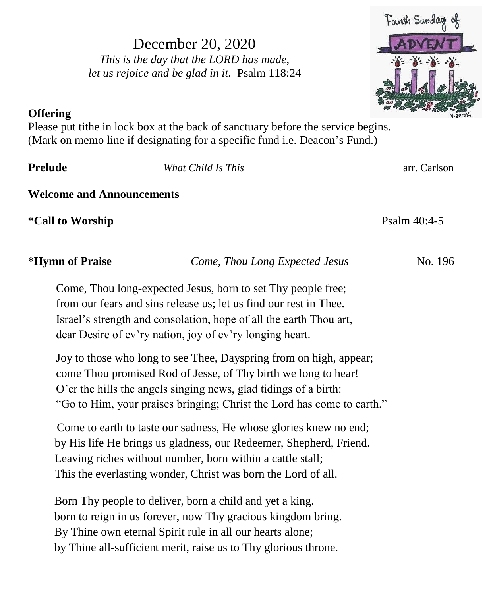December 20, 2020 *This is the day that the LORD has made, let us rejoice and be glad in it.* Psalm 118:24



## **Offering**

Please put tithe in lock box at the back of sanctuary before the service begins. (Mark on memo line if designating for a specific fund i.e. Deacon's Fund.)

**Prelude** *What Child Is This* arr. Carlson

**Welcome and Announcements**

**\*Call to Worship Psalm** 40:4-5

**\*Hymn of Praise** *Come, Thou Long Expected Jesus* No. 196

Come, Thou long-expected Jesus, born to set Thy people free; from our fears and sins release us; let us find our rest in Thee. Israel's strength and consolation, hope of all the earth Thou art, dear Desire of ev'ry nation, joy of ev'ry longing heart.

Joy to those who long to see Thee, Dayspring from on high, appear; come Thou promised Rod of Jesse, of Thy birth we long to hear! O'er the hills the angels singing news, glad tidings of a birth: "Go to Him, your praises bringing; Christ the Lord has come to earth."

Come to earth to taste our sadness, He whose glories knew no end; by His life He brings us gladness, our Redeemer, Shepherd, Friend. Leaving riches without number, born within a cattle stall; This the everlasting wonder, Christ was born the Lord of all.

 Born Thy people to deliver, born a child and yet a king. born to reign in us forever, now Thy gracious kingdom bring. By Thine own eternal Spirit rule in all our hearts alone; by Thine all-sufficient merit, raise us to Thy glorious throne.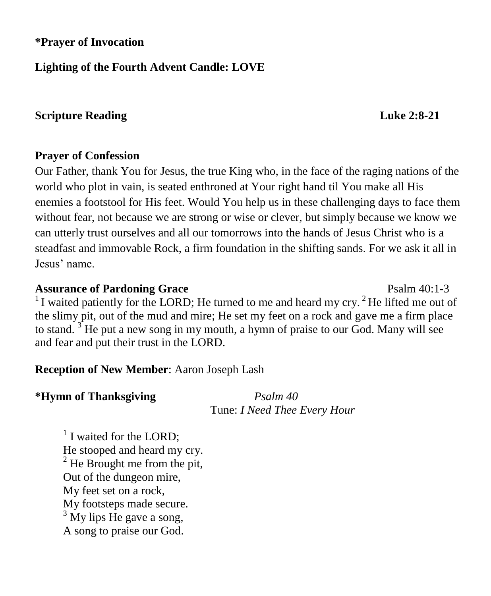## **\*Prayer of Invocation**

## **Lighting of the Fourth Advent Candle: LOVE**

## **Scripture Reading Luke 2:8-21**

### **Prayer of Confession**

Our Father, thank You for Jesus, the true King who, in the face of the raging nations of the world who plot in vain, is seated enthroned at Your right hand til You make all His enemies a footstool for His feet. Would You help us in these challenging days to face them without fear, not because we are strong or wise or clever, but simply because we know we can utterly trust ourselves and all our tomorrows into the hands of Jesus Christ who is a steadfast and immovable Rock, a firm foundation in the shifting sands. For we ask it all in Jesus' name.

**Assurance of Pardoning Grace**  Psalm 40:1-3  $1$ I waited patiently for the LORD; He turned to me and heard my cry. <sup>2</sup> He lifted me out of the slimy pit, out of the mud and mire; He set my feet on a rock and gave me a firm place to stand.  $3$  He put a new song in my mouth, a hymn of praise to our God. Many will see and fear and put their trust in the LORD.

### **Reception of New Member**: Aaron Joseph Lash

### **\*Hymn of Thanksgiving** *Psalm 40*

Tune: *I Need Thee Every Hour*

<sup>1</sup> I waited for the LORD; He stooped and heard my cry.  $2$  He Brought me from the pit, Out of the dungeon mire, My feet set on a rock, My footsteps made secure.  $3$  My lips He gave a song, A song to praise our God.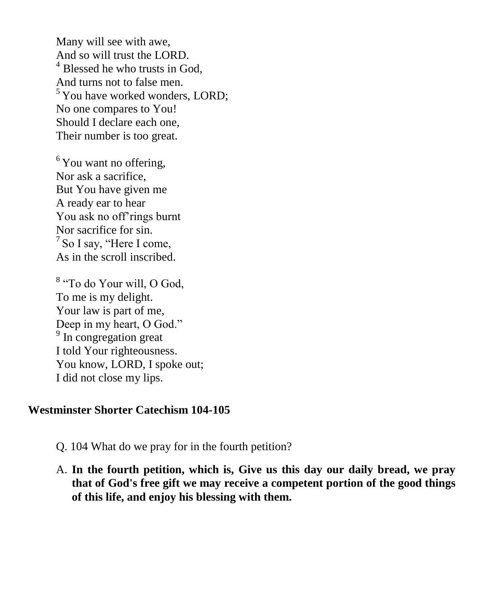Many will see with awe, And so will trust the LORD. <sup>4</sup> Blessed he who trusts in God, And turns not to false men.  $5$  You have worked wonders, LORD; No one compares to You! Should I declare each one, Their number is too great.

 $6$ You want no offering, Nor ask a sacrifice, But You have given me A ready ear to hear You ask no off'rings burnt Nor sacrifice for sin.  $<sup>7</sup>$  So I say, "Here I come,</sup> As in the scroll inscribed.

<sup>8</sup> "To do Your will, O God, To me is my delight. Your law is part of me, Deep in my heart, O God." <sup>9</sup> In congregation great I told Your righteousness. You know, LORD, I spoke out; I did not close my lips.

#### **Westminster Shorter Catechism 104-105**

- Q. 104 What do we pray for in the fourth petition?
- A. **In the fourth petition, which is, Give us this day our daily bread, we pray that of God's free gift we may receive a competent portion of the good things of this life, and enjoy his blessing with them.**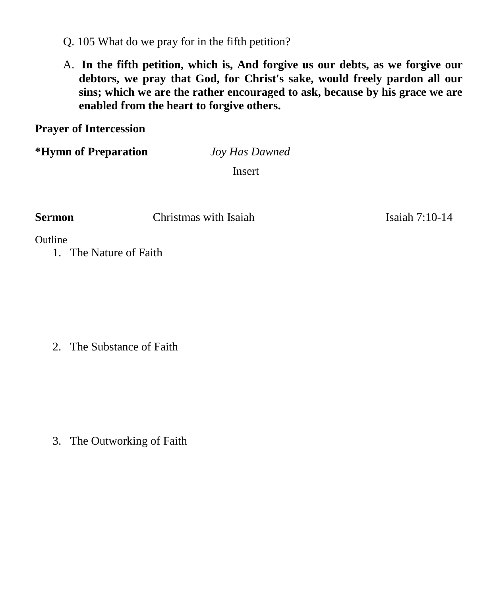Q. 105 What do we pray for in the fifth petition?

A. **In the fifth petition, which is, And forgive us our debts, as we forgive our debtors, we pray that God, for Christ's sake, would freely pardon all our sins; which we are the rather encouraged to ask, because by his grace we are enabled from the heart to forgive others.**

**Prayer of Intercession**

**\*Hymn of Preparation** *Joy Has Dawned*

Insert

**Sermon Christmas with Isaiah 1996 Isaiah 7:10-14** 

**Outline** 

1. The Nature of Faith

2. The Substance of Faith

3. The Outworking of Faith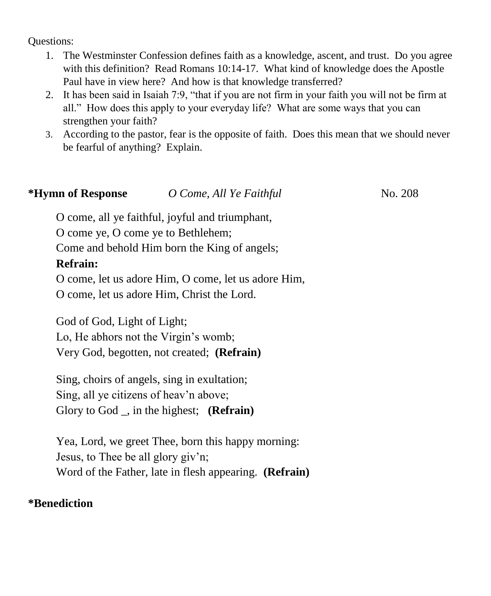Questions:

- 1. The Westminster Confession defines faith as a knowledge, ascent, and trust. Do you agree with this definition? Read Romans 10:14-17. What kind of knowledge does the Apostle Paul have in view here? And how is that knowledge transferred?
- 2. It has been said in Isaiah 7:9, "that if you are not firm in your faith you will not be firm at all." How does this apply to your everyday life? What are some ways that you can strengthen your faith?
- 3. According to the pastor, fear is the opposite of faith. Does this mean that we should never be fearful of anything? Explain.

| *Hymn of Response                  | O Come, All Ye Faithful                             | No. 208 |
|------------------------------------|-----------------------------------------------------|---------|
|                                    | O come, all ye faithful, joyful and triumphant,     |         |
| O come ye, O come ye to Bethlehem; |                                                     |         |
|                                    | Come and behold Him born the King of angels;        |         |
| <b>Refrain:</b>                    |                                                     |         |
|                                    | O come, let us adore Him, O come, let us adore Him, |         |
|                                    | O come, let us adore Him, Christ the Lord.          |         |

God of God, Light of Light; Lo, He abhors not the Virgin's womb; Very God, begotten, not created; **(Refrain)**

Sing, choirs of angels, sing in exultation; Sing, all ye citizens of heav'n above; Glory to God \_, in the highest; **(Refrain)**

Yea, Lord, we greet Thee, born this happy morning: Jesus, to Thee be all glory giv'n; Word of the Father, late in flesh appearing. **(Refrain)**

## **\*Benediction**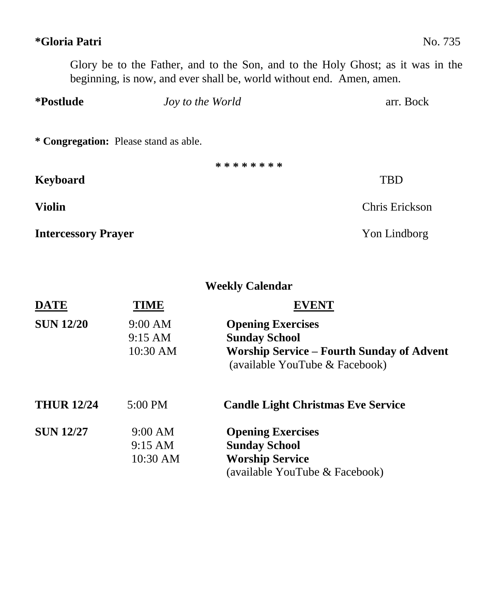# Glory be to the Father, and to the Son, and to the Holy Ghost; as it was in the beginning, is now, and ever shall be, world without end. Amen, amen. **\*Postlude** *Joy to the World* arr. Bock **\* Congregation:** Please stand as able. **\* \* \* \* \* \* \* \* Keyboard** TBD **Violin** Chris Erickson

**Intercessory Prayer** Yon Lindborg

**\*Gloria Patri** No. 735

**Weekly Calendar**

| <b>DATE</b>       | TIME              |                                                                                    |
|-------------------|-------------------|------------------------------------------------------------------------------------|
| <b>SUN 12/20</b>  | 9:00 AM           | <b>Opening Exercises</b>                                                           |
|                   | $9:15 \text{ AM}$ | <b>Sunday School</b>                                                               |
|                   | 10:30 AM          | <b>Worship Service – Fourth Sunday of Advent</b><br>(available YouTube & Facebook) |
| <b>THUR 12/24</b> | $5:00 \text{ PM}$ | <b>Candle Light Christmas Eve Service</b>                                          |
| <b>SUN 12/27</b>  | 9:00 AM           | <b>Opening Exercises</b>                                                           |
|                   | 9:15 AM           | <b>Sunday School</b>                                                               |
|                   | 10:30 AM          | <b>Worship Service</b>                                                             |
|                   |                   | (available YouTube & Facebook)                                                     |